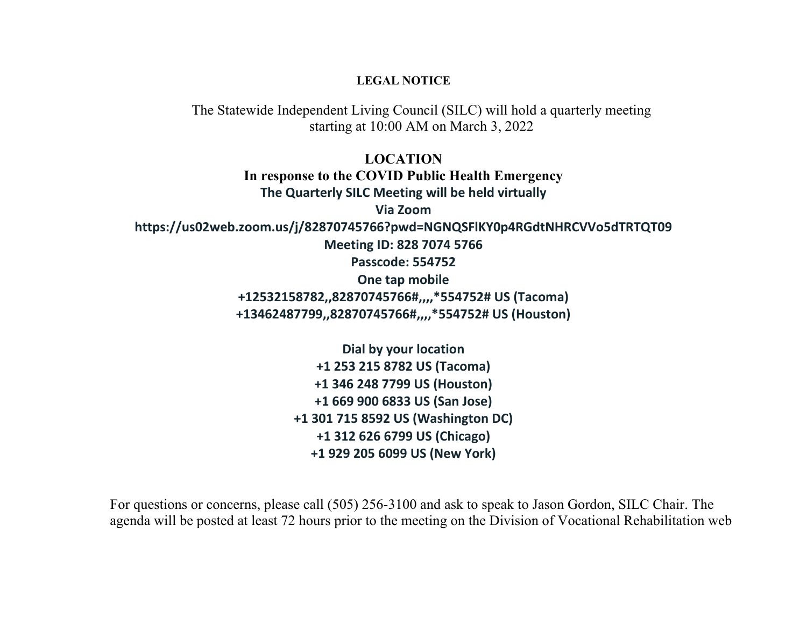## **LEGAL NOTICE**

The Statewide Independent Living Council (SILC) will hold a quarterly meeting starting at 10:00 AM on March 3, 2022

**LOCATION In response to the COVID Public Health Emergency The Quarterly SILC Meeting will be held virtually Via Zoom**

**https://us02web.zoom.us/j/82870745766?pwd=NGNQSFlKY0p4RGdtNHRCVVo5dTRTQT09**

**Meeting ID: 828 7074 5766**

**Passcode: 554752**

**One tap mobile**

**+12532158782,,82870745766#,,,,\*554752# US (Tacoma) +13462487799,,82870745766#,,,,\*554752# US (Houston)**

> **Dial by your location +1 253 215 8782 US (Tacoma) +1 346 248 7799 US (Houston) +1 669 900 6833 US (San Jose) +1 301 715 8592 US (Washington DC) +1 312 626 6799 US (Chicago) +1 929 205 6099 US (New York)**

For questions or concerns, please call (505) 256-3100 and ask to speak to Jason Gordon, SILC Chair. The agenda will be posted at least 72 hours prior to the meeting on the Division of Vocational Rehabilitation web